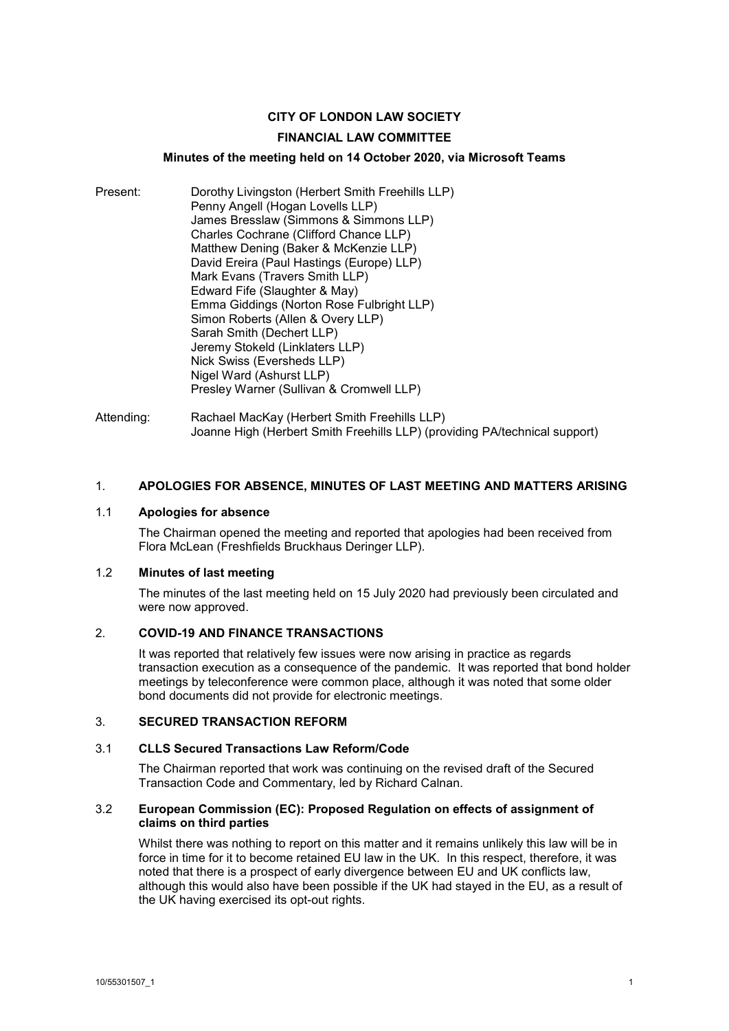## **CITY OF LONDON LAW SOCIETY**

### **FINANCIAL LAW COMMITTEE**

### **Minutes of the meeting held on 14 October 2020, via Microsoft Teams**

- Present: Dorothy Livingston (Herbert Smith Freehills LLP) Penny Angell (Hogan Lovells LLP) James Bresslaw (Simmons & Simmons LLP) Charles Cochrane (Clifford Chance LLP) Matthew Dening (Baker & McKenzie LLP) David Ereira (Paul Hastings (Europe) LLP) Mark Evans (Travers Smith LLP) Edward Fife (Slaughter & May) Emma Giddings (Norton Rose Fulbright LLP) Simon Roberts (Allen & Overy LLP) Sarah Smith (Dechert LLP) Jeremy Stokeld (Linklaters LLP) Nick Swiss (Eversheds LLP) Nigel Ward (Ashurst LLP) Presley Warner (Sullivan & Cromwell LLP)
- Attending: Rachael MacKay (Herbert Smith Freehills LLP) Joanne High (Herbert Smith Freehills LLP) (providing PA/technical support)

### 1. **APOLOGIES FOR ABSENCE, MINUTES OF LAST MEETING AND MATTERS ARISING**

### 1.1 **Apologies for absence**

The Chairman opened the meeting and reported that apologies had been received from Flora McLean (Freshfields Bruckhaus Deringer LLP).

### 1.2 **Minutes of last meeting**

The minutes of the last meeting held on 15 July 2020 had previously been circulated and were now approved.

### 2. **COVID-19 AND FINANCE TRANSACTIONS**

It was reported that relatively few issues were now arising in practice as regards transaction execution as a consequence of the pandemic. It was reported that bond holder meetings by teleconference were common place, although it was noted that some older bond documents did not provide for electronic meetings.

### 3. **SECURED TRANSACTION REFORM**

### 3.1 **CLLS Secured Transactions Law Reform/Code**

The Chairman reported that work was continuing on the revised draft of the Secured Transaction Code and Commentary, led by Richard Calnan.

### 3.2 **European Commission (EC): Proposed Regulation on effects of assignment of claims on third parties**

Whilst there was nothing to report on this matter and it remains unlikely this law will be in force in time for it to become retained EU law in the UK. In this respect, therefore, it was noted that there is a prospect of early divergence between EU and UK conflicts law, although this would also have been possible if the UK had stayed in the EU, as a result of the UK having exercised its opt-out rights.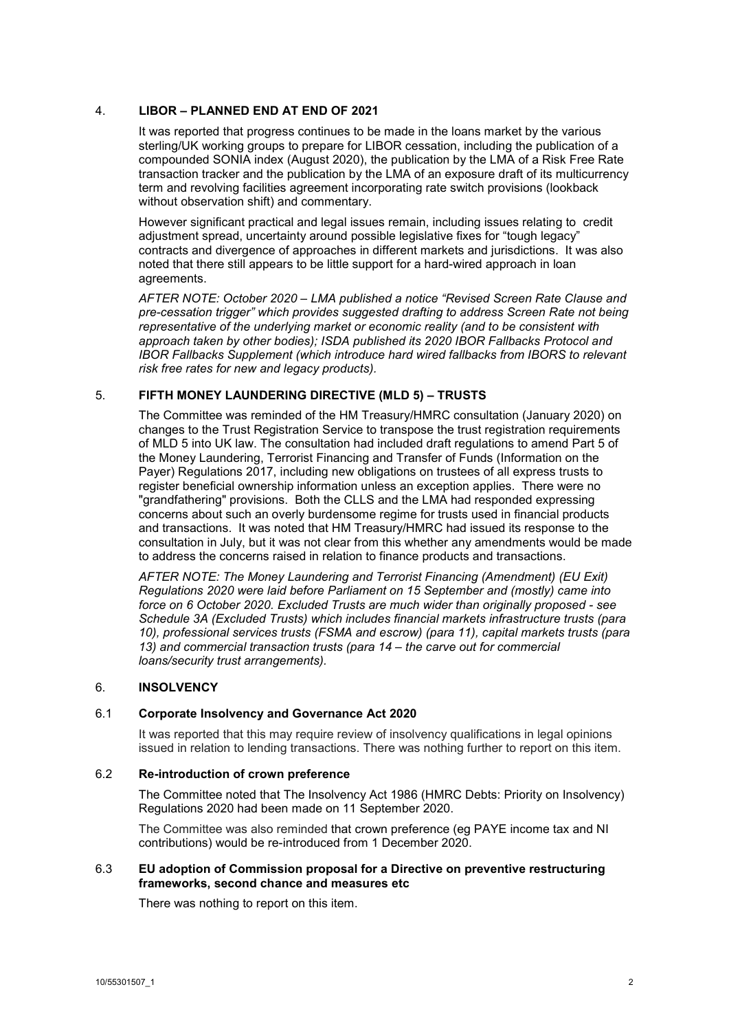### 4. **LIBOR – PLANNED END AT END OF 2021**

It was reported that progress continues to be made in the loans market by the various sterling/UK working groups to prepare for LIBOR cessation, including the publication of a compounded SONIA index (August 2020), the publication by the LMA of a Risk Free Rate transaction tracker and the publication by the LMA of an exposure draft of its multicurrency term and revolving facilities agreement incorporating rate switch provisions (lookback without observation shift) and commentary.

However significant practical and legal issues remain, including issues relating to credit adjustment spread, uncertainty around possible legislative fixes for "tough legacy" contracts and divergence of approaches in different markets and jurisdictions. It was also noted that there still appears to be little support for a hard-wired approach in loan agreements.

*AFTER NOTE: October 2020 – LMA published a notice "Revised Screen Rate Clause and pre-cessation trigger" which provides suggested drafting to address Screen Rate not being representative of the underlying market or economic reality (and to be consistent with approach taken by other bodies); ISDA published its 2020 IBOR Fallbacks Protocol and IBOR Fallbacks Supplement (which introduce hard wired fallbacks from IBORS to relevant risk free rates for new and legacy products).*

## 5. **FIFTH MONEY LAUNDERING DIRECTIVE (MLD 5) – TRUSTS**

The Committee was reminded of the HM Treasury/HMRC consultation (January 2020) on changes to the Trust Registration Service to transpose the trust registration requirements of MLD 5 into UK law. The consultation had included draft regulations to amend Part 5 of the Money Laundering, Terrorist Financing and Transfer of Funds (Information on the Payer) Regulations 2017, including new obligations on trustees of all express trusts to register beneficial ownership information unless an exception applies. There were no "grandfathering" provisions. Both the CLLS and the LMA had responded expressing concerns about such an overly burdensome regime for trusts used in financial products and transactions. It was noted that HM Treasury/HMRC had issued its response to the consultation in July, but it was not clear from this whether any amendments would be made to address the concerns raised in relation to finance products and transactions.

*AFTER NOTE: The Money Laundering and Terrorist Financing (Amendment) (EU Exit) Regulations 2020 were laid before Parliament on 15 September and (mostly) came into force on 6 October 2020. Excluded Trusts are much wider than originally proposed - see Schedule 3A (Excluded Trusts) which includes financial markets infrastructure trusts (para 10), professional services trusts (FSMA and escrow) (para 11), capital markets trusts (para 13) and commercial transaction trusts (para 14 – the carve out for commercial loans/security trust arrangements).*

### 6. **INSOLVENCY**

### 6.1 **Corporate Insolvency and Governance Act 2020**

It was reported that this may require review of insolvency qualifications in legal opinions issued in relation to lending transactions. There was nothing further to report on this item.

#### 6.2 **Re-introduction of crown preference**

The Committee noted that The Insolvency Act 1986 (HMRC Debts: Priority on Insolvency) Regulations 2020 had been made on 11 September 2020.

The Committee was also reminded that crown preference (eg PAYE income tax and NI contributions) would be re-introduced from 1 December 2020.

### 6.3 **EU adoption of Commission proposal for a Directive on preventive restructuring frameworks, second chance and measures etc**

There was nothing to report on this item.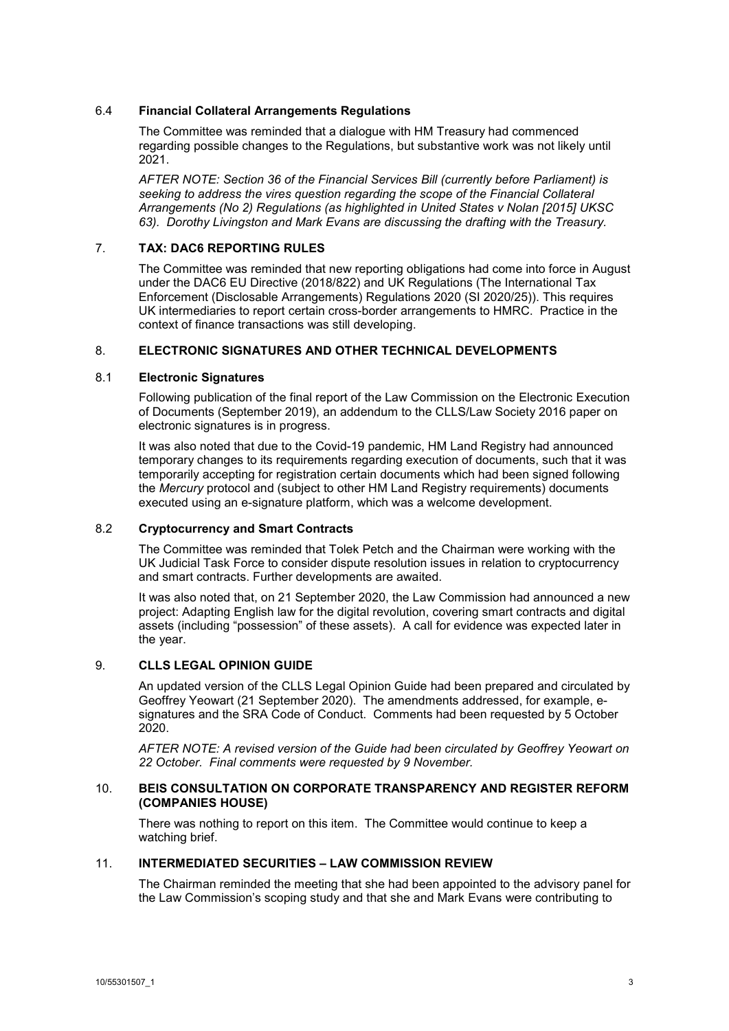### 6.4 **Financial Collateral Arrangements Regulations**

The Committee was reminded that a dialogue with HM Treasury had commenced regarding possible changes to the Regulations, but substantive work was not likely until 2021.

*AFTER NOTE: Section 36 of the Financial Services Bill (currently before Parliament) is seeking to address the vires question regarding the scope of the Financial Collateral Arrangements (No 2) Regulations (as highlighted in United States v Nolan [2015] UKSC 63). Dorothy Livingston and Mark Evans are discussing the drafting with the Treasury.*

### 7. **TAX: DAC6 REPORTING RULES**

The Committee was reminded that new reporting obligations had come into force in August under the DAC6 EU Directive (2018/822) and UK Regulations (The International Tax Enforcement (Disclosable Arrangements) Regulations 2020 (SI 2020/25)). This requires UK intermediaries to report certain cross-border arrangements to HMRC. Practice in the context of finance transactions was still developing.

### 8. **ELECTRONIC SIGNATURES AND OTHER TECHNICAL DEVELOPMENTS**

### 8.1 **Electronic Signatures**

Following publication of the final report of the Law Commission on the Electronic Execution of Documents (September 2019), an addendum to the CLLS/Law Society 2016 paper on electronic signatures is in progress.

It was also noted that due to the Covid-19 pandemic, HM Land Registry had announced temporary changes to its requirements regarding execution of documents, such that it was temporarily accepting for registration certain documents which had been signed following the *Mercury* protocol and (subject to other HM Land Registry requirements) documents executed using an e-signature platform, which was a welcome development.

### 8.2 **Cryptocurrency and Smart Contracts**

The Committee was reminded that Tolek Petch and the Chairman were working with the UK Judicial Task Force to consider dispute resolution issues in relation to cryptocurrency and smart contracts. Further developments are awaited.

It was also noted that, on 21 September 2020, the Law Commission had announced a new project: Adapting English law for the digital revolution, covering smart contracts and digital assets (including "possession" of these assets). A call for evidence was expected later in the year.

# 9. **CLLS LEGAL OPINION GUIDE**

An updated version of the CLLS Legal Opinion Guide had been prepared and circulated by Geoffrey Yeowart (21 September 2020). The amendments addressed, for example, esignatures and the SRA Code of Conduct. Comments had been requested by 5 October 2020.

*AFTER NOTE: A revised version of the Guide had been circulated by Geoffrey Yeowart on 22 October. Final comments were requested by 9 November.*

### 10. **BEIS CONSULTATION ON CORPORATE TRANSPARENCY AND REGISTER REFORM (COMPANIES HOUSE)**

There was nothing to report on this item. The Committee would continue to keep a watching brief.

### 11. **INTERMEDIATED SECURITIES – LAW COMMISSION REVIEW**

The Chairman reminded the meeting that she had been appointed to the advisory panel for the Law Commission's scoping study and that she and Mark Evans were contributing to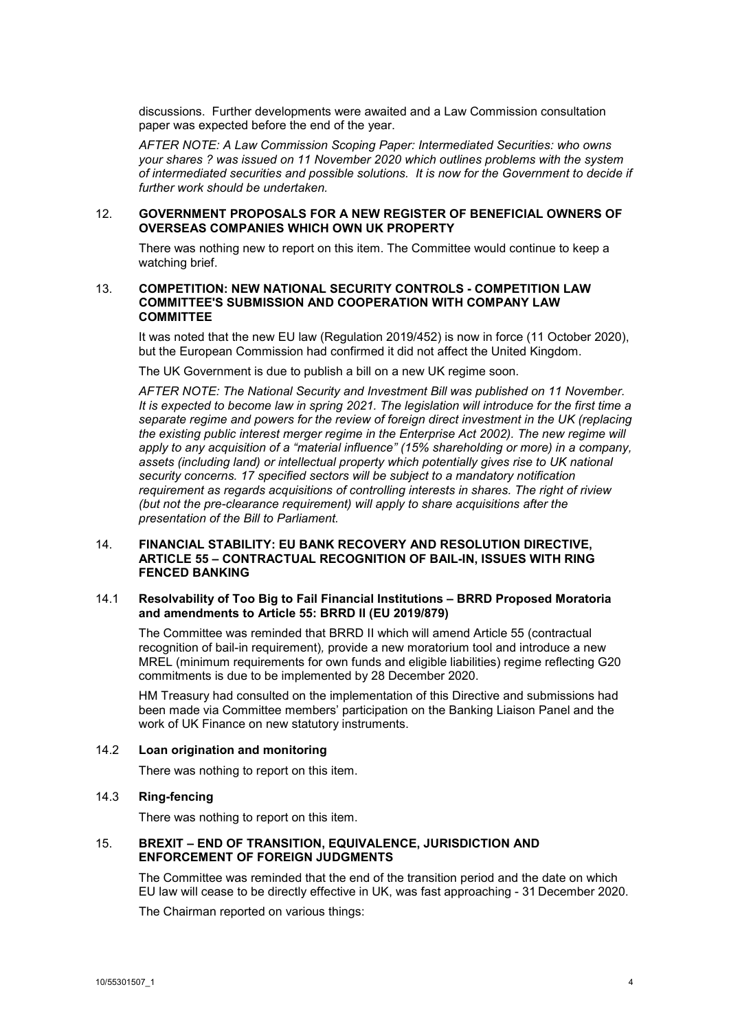discussions. Further developments were awaited and a Law Commission consultation paper was expected before the end of the year.

*AFTER NOTE: A Law Commission Scoping Paper: Intermediated Securities: who owns your shares ? was issued on 11 November 2020 which outlines problems with the system of intermediated securities and possible solutions. It is now for the Government to decide if further work should be undertaken.*

### 12. **GOVERNMENT PROPOSALS FOR A NEW REGISTER OF BENEFICIAL OWNERS OF OVERSEAS COMPANIES WHICH OWN UK PROPERTY**

There was nothing new to report on this item. The Committee would continue to keep a watching brief.

### 13. **COMPETITION: NEW NATIONAL SECURITY CONTROLS - COMPETITION LAW COMMITTEE'S SUBMISSION AND COOPERATION WITH COMPANY LAW COMMITTEE**

It was noted that the new EU law (Regulation 2019/452) is now in force (11 October 2020), but the European Commission had confirmed it did not affect the United Kingdom.

The UK Government is due to publish a bill on a new UK regime soon.

*AFTER NOTE: The National Security and Investment Bill was published on 11 November. It is expected to become law in spring 2021. The legislation will introduce for the first time a separate regime and powers for the review of foreign direct investment in the UK (replacing the existing public interest merger regime in the Enterprise Act 2002). The new regime will apply to any acquisition of a "material influence" (15% shareholding or more) in a company, assets (including land) or intellectual property which potentially gives rise to UK national security concerns. 17 specified sectors will be subject to a mandatory notification requirement as regards acquisitions of controlling interests in shares. The right of riview (but not the pre-clearance requirement) will apply to share acquisitions after the presentation of the Bill to Parliament.* 

#### 14. **FINANCIAL STABILITY: EU BANK RECOVERY AND RESOLUTION DIRECTIVE, ARTICLE 55 – CONTRACTUAL RECOGNITION OF BAIL-IN, ISSUES WITH RING FENCED BANKING**

### 14.1 **Resolvability of Too Big to Fail Financial Institutions – BRRD Proposed Moratoria and amendments to Article 55: BRRD II (EU 2019/879)**

The Committee was reminded that BRRD II which will amend Article 55 (contractual recognition of bail-in requirement)*,* provide a new moratorium tool and introduce a new MREL (minimum requirements for own funds and eligible liabilities) regime reflecting G20 commitments is due to be implemented by 28 December 2020.

HM Treasury had consulted on the implementation of this Directive and submissions had been made via Committee members' participation on the Banking Liaison Panel and the work of UK Finance on new statutory instruments.

### 14.2 **Loan origination and monitoring**

There was nothing to report on this item.

### 14.3 **Ring-fencing**

There was nothing to report on this item.

### 15. **BREXIT – END OF TRANSITION, EQUIVALENCE, JURISDICTION AND ENFORCEMENT OF FOREIGN JUDGMENTS**

The Committee was reminded that the end of the transition period and the date on which EU law will cease to be directly effective in UK, was fast approaching - 31 December 2020.

The Chairman reported on various things: